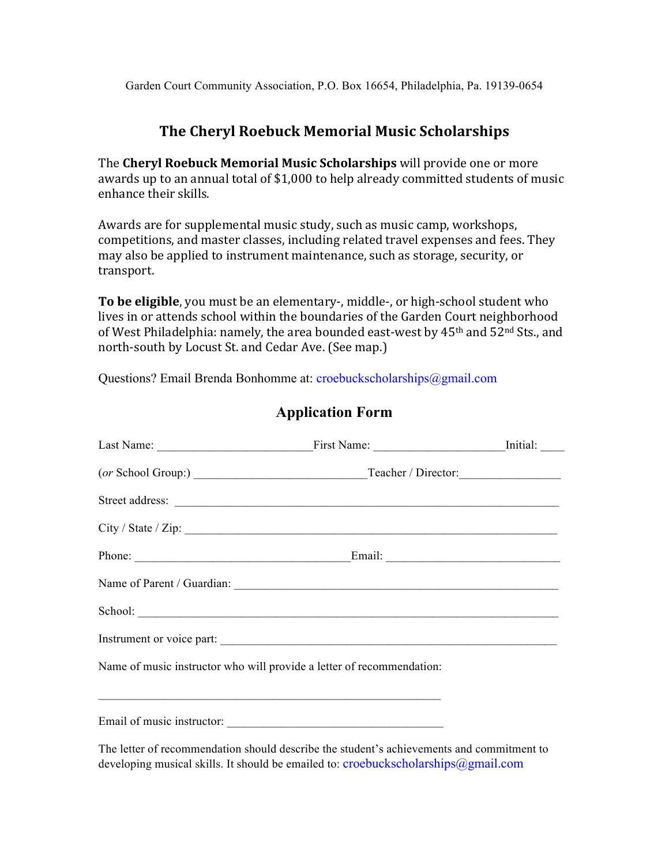# **The Cheryl Roebuck Memorial Music Scholarships**

The **Cheryl Roebuck Memorial Music Scholarships** will provide one or more awards up to an annual total of \$1,000 to help already committed students of music enhance their skills.

Awards are for supplemental music study, such as music camp, workshops, competitions, and master classes, including related travel expenses and fees. They may also be applied to instrument maintenance, such as storage, security, or transport.

**To be eligible**, you must be an elementary-, middle-, or high-school student who lives in or attends school within the boundaries of the Garden Court neighborhood of West Philadelphia: namely, the area bounded east-west by  $45<sup>th</sup>$  and  $52<sup>nd</sup>$  Sts., and north-south by Locust St. and Cedar Ave. (See map.)

Questions? Email Brenda Bonhomme at: croebuckscholarships@gmail.com

| School:                                                                                                                                       |  |
|-----------------------------------------------------------------------------------------------------------------------------------------------|--|
| Instrument or voice part:                                                                                                                     |  |
| Name of music instructor who will provide a letter of recommendation:<br><u> 1989 - Johann Barn, mars an t-Amerikaansk politiker (* 1958)</u> |  |
|                                                                                                                                               |  |
| The letter of recommendation should describe the student's achievements and commitment to                                                     |  |

**Application Form**

developing musical skills. It should be emailed to: croebuckscholarships $@g$ gmail.com